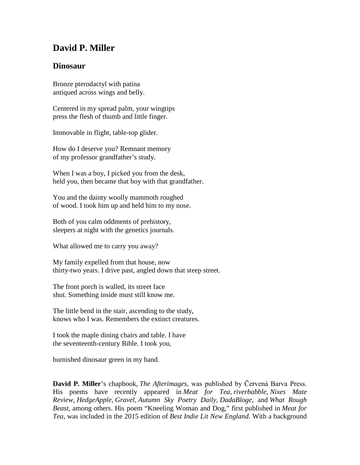## **David P. Miller**

## **Dinosaur**

Bronze pterodactyl with patina antiqued across wings and belly.

Centered in my spread palm, your wingtips press the flesh of thumb and little finger.

Immovable in flight, table-top glider.

How do I deserve you? Remnant memory of my professor grandfather's study.

When I was a boy, I picked you from the desk, held you, then became that boy with that grandfather.

You and the dainty woolly mammoth roughed of wood. I took him up and held him to my nose.

Both of you calm oddments of prehistory, sleepers at night with the genetics journals.

What allowed me to carry you away?

My family expelled from that house, now thirty-two years. I drive past, angled down that steep street.

The front porch is walled, its street face shut. Something inside must still know me.

The little bend in the stair, ascending to the study, knows who I was. Remembers the extinct creatures.

I took the maple dining chairs and table. I have the seventeenth-century Bible. I took you,

burnished dinosaur green in my hand.

**David P. Miller**'s chapbook, *The Afterimages*, was published by Červená Barva Press. His poems have recently appeared in *Meat for Tea*, *riverbabble*, *Nixes Mate Review*, *HedgeApple*, *Gravel*, *Autumn Sky Poetry Daily*, *DadaBloge*, and *What Rough Beast*, among others. His poem "Kneeling Woman and Dog," first published in *Meat for Tea*, was included in the 2015 edition of *Best Indie Lit New England*. With a background